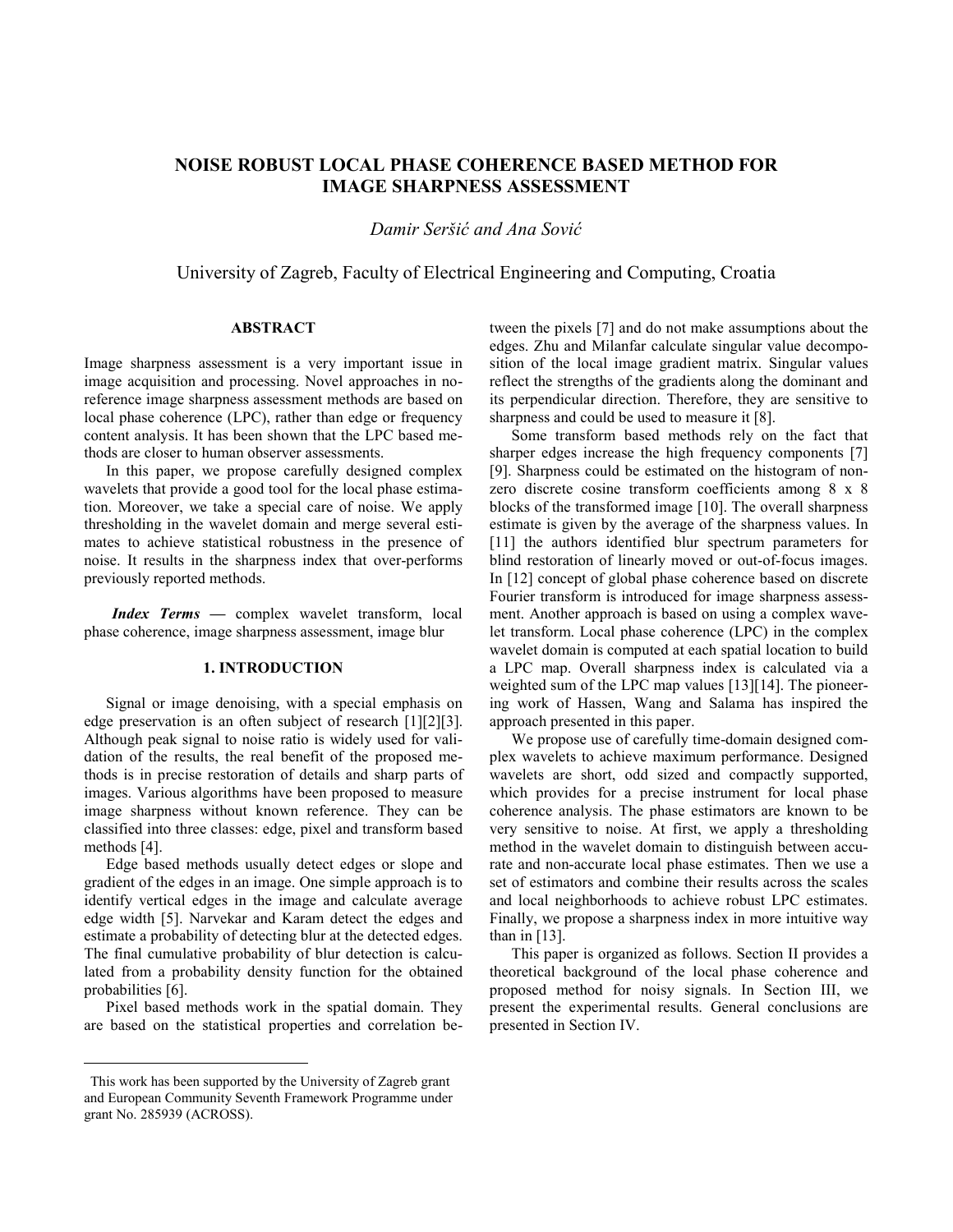# **NOISE ROBUST LOCAL PHASE COHERENCE BASED METHOD FOR IMAGE SHARPNESS ASSESSMENT**

*Damir Seršić and Ana Sović*

University of Zagreb, Faculty of Electrical Engineering and Computing, Croatia

## **ABSTRACT**

Image sharpness assessment is a very important issue in image acquisition and processing. Novel approaches in noreference image sharpness assessment methods are based on local phase coherence (LPC), rather than edge or frequency content analysis. It has been shown that the LPC based methods are closer to human observer assessments.

In this paper, we propose carefully designed complex wavelets that provide a good tool for the local phase estimation. Moreover, we take a special care of noise. We apply thresholding in the wavelet domain and merge several estimates to achieve statistical robustness in the presence of noise. It results in the sharpness index that over-performs previously reported methods.

*Index Terms —* complex wavelet transform, local phase coherence, image sharpness assessment, image blur

# **1. INTRODUCTION**

Signal or image denoising, with a special emphasis on edge preservation is an often subject of research [1][2][3]. Although peak signal to noise ratio is widely used for validation of the results, the real benefit of the proposed methods is in precise restoration of details and sharp parts of images. Various algorithms have been proposed to measure image sharpness without known reference. They can be classified into three classes: edge, pixel and transform based methods [4].

Edge based methods usually detect edges or slope and gradient of the edges in an image. One simple approach is to identify vertical edges in the image and calculate average edge width [5]. Narvekar and Karam detect the edges and estimate a probability of detecting blur at the detected edges. The final cumulative probability of blur detection is calculated from a probability density function for the obtained probabilities [6].

Pixel based methods work in the spatial domain. They are based on the statistical properties and correlation be-

 $\overline{a}$ 

tween the pixels [7] and do not make assumptions about the edges. Zhu and Milanfar calculate singular value decomposition of the local image gradient matrix. Singular values reflect the strengths of the gradients along the dominant and its perpendicular direction. Therefore, they are sensitive to sharpness and could be used to measure it [8].

Some transform based methods rely on the fact that sharper edges increase the high frequency components [7] [9]. Sharpness could be estimated on the histogram of nonzero discrete cosine transform coefficients among 8 x 8 blocks of the transformed image [10]. The overall sharpness estimate is given by the average of the sharpness values. In [11] the authors identified blur spectrum parameters for blind restoration of linearly moved or out-of-focus images. In [12] concept of global phase coherence based on discrete Fourier transform is introduced for image sharpness assessment. Another approach is based on using a complex wavelet transform. Local phase coherence (LPC) in the complex wavelet domain is computed at each spatial location to build a LPC map. Overall sharpness index is calculated via a weighted sum of the LPC map values [13][14]. The pioneering work of Hassen, Wang and Salama has inspired the approach presented in this paper.

We propose use of carefully time-domain designed complex wavelets to achieve maximum performance. Designed wavelets are short, odd sized and compactly supported, which provides for a precise instrument for local phase coherence analysis. The phase estimators are known to be very sensitive to noise. At first, we apply a thresholding method in the wavelet domain to distinguish between accurate and non-accurate local phase estimates. Then we use a set of estimators and combine their results across the scales and local neighborhoods to achieve robust LPC estimates. Finally, we propose a sharpness index in more intuitive way than in  $[13]$ .

This paper is organized as follows. Section II provides a theoretical background of the local phase coherence and proposed method for noisy signals. In Section III, we present the experimental results. General conclusions are presented in Section IV.

This work has been supported by the University of Zagreb grant and European Community Seventh Framework Programme under grant No. 285939 (ACROSS).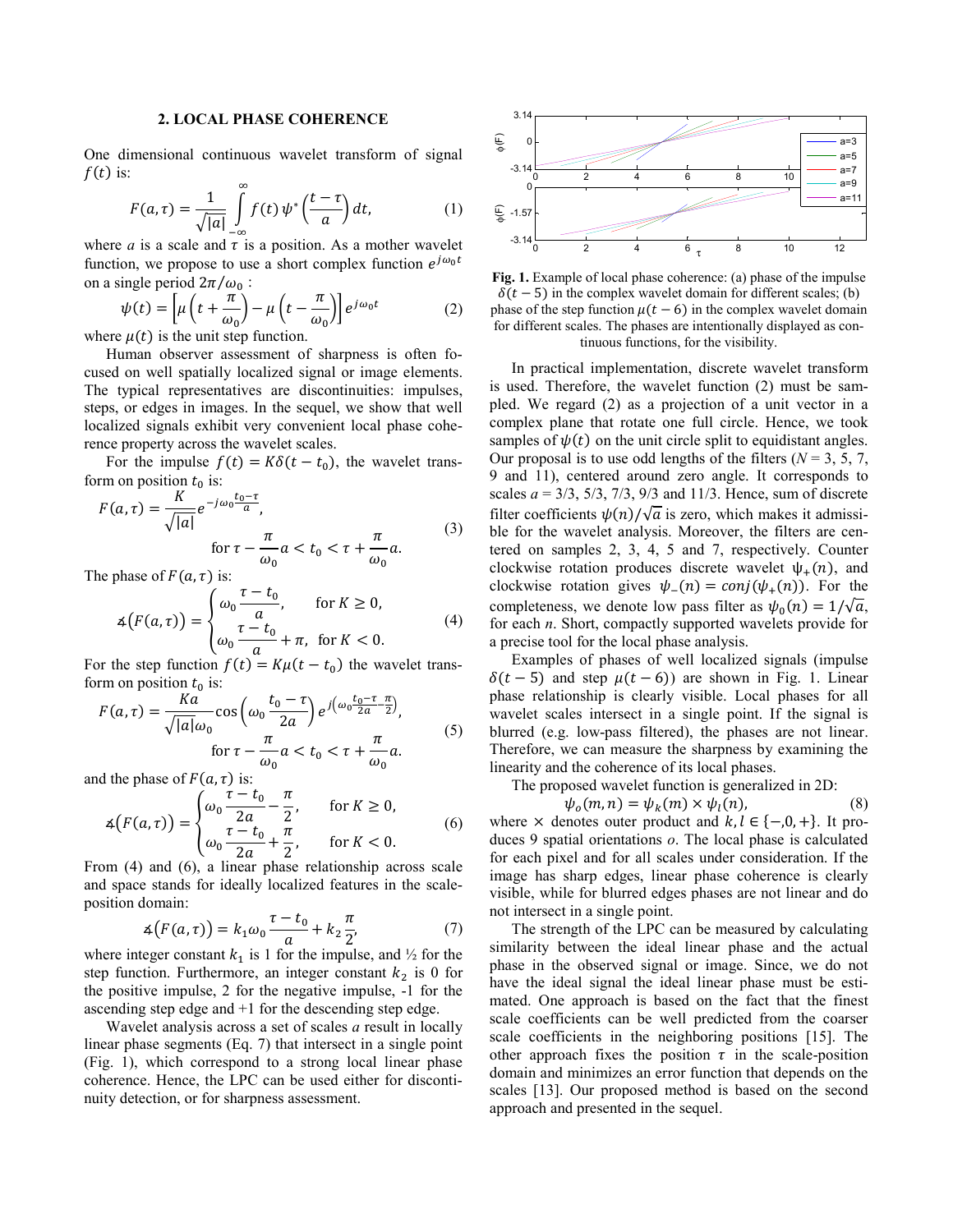# **2. LOCAL PHASE COHERENCE**

One dimensional continuous wavelet transform of signal  $f(t)$  is:  $\infty$ 

$$
F(a,\tau) = \frac{1}{\sqrt{|a|}} \int_{-\infty}^{\infty} f(t) \psi^* \left(\frac{t-\tau}{a}\right) dt, \tag{1}
$$

where *a* is a scale and  $\tau$  is a position. As a mother wavelet function, we propose to use a short complex function  $e^{j\omega_0 t}$ on a single period  $2\pi/\omega_0$ :

$$
\psi(t) = \left[\mu\left(t + \frac{\pi}{\omega_0}\right) - \mu\left(t - \frac{\pi}{\omega_0}\right)\right]e^{j\omega_0 t}
$$
\n(2)

where  $\mu(t)$  is the unit step function.

Human observer assessment of sharpness is often focused on well spatially localized signal or image elements. The typical representatives are discontinuities: impulses, steps, or edges in images. In the sequel, we show that well localized signals exhibit very convenient local phase coherence property across the wavelet scales.

For the impulse  $f(t) = K\delta(t - t_0)$ , the wavelet transform on position  $t_0$  is:

$$
F(a,\tau) = \frac{K}{\sqrt{|a|}} e^{-j\omega_0 \frac{t_0 - \tau}{a}},
$$
  
for  $\tau - \frac{\pi}{\omega_0} a < t_0 < \tau + \frac{\pi}{\omega_0} a.$  (3)

The phase of  $F(a, \tau)$  is:

$$
\mathfrak{A}\big(F(a,\tau)\big) = \begin{cases} \omega_0 \frac{\tau - t_0}{a}, & \text{for } K \ge 0, \\ \omega_0 \frac{\tau - t_0}{a} + \pi, & \text{for } K < 0. \end{cases} \tag{4}
$$

For the step function  $f(t) = K\mu(t - t_0)$  the wavelet transform on position  $t_0$  is:

$$
F(a,\tau) = \frac{Ka}{\sqrt{|a|}\omega_0} \cos\left(\omega_0 \frac{t_0 - \tau}{2a}\right) e^{j\left(\omega_0 \frac{t_0 - \tau}{2a} - \frac{\pi}{2}\right)},
$$
  
for  $\tau - \frac{\pi}{\omega_0} a < t_0 < \tau + \frac{\pi}{\omega_0} a.$  (5)

and the phase of  $F(a, \tau)$  is:

$$
\measuredangle\big(F(a,\tau)\big) = \begin{cases} \omega_0 \frac{\tau - t_0}{2a} - \frac{\pi}{2}, & \text{for } K \ge 0, \\ \omega_0 \frac{\tau - t_0}{2a} + \frac{\pi}{2}, & \text{for } K < 0. \end{cases} \tag{6}
$$

From (4) and (6), a linear phase relationship across scale and space stands for ideally localized features in the scaleposition domain:

$$
\mathcal{A}\big(F(a,\tau)\big) = k_1 \omega_0 \frac{\tau - t_0}{a} + k_2 \frac{\pi}{2'},\tag{7}
$$

where integer constant  $k_1$  is 1 for the impulse, and  $\frac{1}{2}$  for the step function. Furthermore, an integer constant  $k_2$  is 0 for the positive impulse, 2 for the negative impulse, -1 for the ascending step edge and +1 for the descending step edge.

Wavelet analysis across a set of scales *a* result in locally linear phase segments (Eq. 7) that intersect in a single point (Fig. 1), which correspond to a strong local linear phase coherence. Hence, the LPC can be used either for discontinuity detection, or for sharpness assessment.



**Fig. 1.** Example of local phase coherence: (a) phase of the impulse  $\delta(t-5)$  in the complex wavelet domain for different scales; (b) phase of the step function  $\mu(t-6)$  in the complex wavelet domain for different scales. The phases are intentionally displayed as continuous functions, for the visibility.

In practical implementation, discrete wavelet transform is used. Therefore, the wavelet function (2) must be sampled. We regard (2) as a projection of a unit vector in a complex plane that rotate one full circle. Hence, we took samples of  $\psi(t)$  on the unit circle split to equidistant angles. Our proposal is to use odd lengths of the filters ( $N = 3, 5, 7$ , 9 and 11), centered around zero angle. It corresponds to scales  $a = 3/3$ ,  $5/3$ ,  $7/3$ ,  $9/3$  and  $11/3$ . Hence, sum of discrete filter coefficients  $\psi(n)/\sqrt{a}$  is zero, which makes it admissible for the wavelet analysis. Moreover, the filters are centered on samples 2, 3, 4, 5 and 7, respectively. Counter clockwise rotation produces discrete wavelet  $\psi_{+}(n)$ , and clockwise rotation gives  $\psi_{-}(n) = \text{conj}(\psi_{+}(n))$ . For the completeness, we denote low pass filter as  $\psi_0(n) = 1/\sqrt{a}$ , for each *n*. Short, compactly supported wavelets provide for a precise tool for the local phase analysis.

Examples of phases of well localized signals (impulse  $\delta(t-5)$  and step  $\mu(t-6)$ ) are shown in Fig. 1. Linear phase relationship is clearly visible. Local phases for all wavelet scales intersect in a single point. If the signal is blurred (e.g. low-pass filtered), the phases are not linear. Therefore, we can measure the sharpness by examining the linearity and the coherence of its local phases.

The proposed wavelet function is generalized in 2D:

$$
\psi_o(m, n) = \psi_k(m) \times \psi_l(n), \tag{8}
$$

where  $\times$  denotes outer product and  $k, l \in \{-,0, +\}$ . It produces 9 spatial orientations *o*. The local phase is calculated for each pixel and for all scales under consideration. If the image has sharp edges, linear phase coherence is clearly visible, while for blurred edges phases are not linear and do not intersect in a single point.

The strength of the LPC can be measured by calculating similarity between the ideal linear phase and the actual phase in the observed signal or image. Since, we do not have the ideal signal the ideal linear phase must be estimated. One approach is based on the fact that the finest scale coefficients can be well predicted from the coarser scale coefficients in the neighboring positions [15]. The other approach fixes the position  $\tau$  in the scale-position domain and minimizes an error function that depends on the scales [13]. Our proposed method is based on the second approach and presented in the sequel.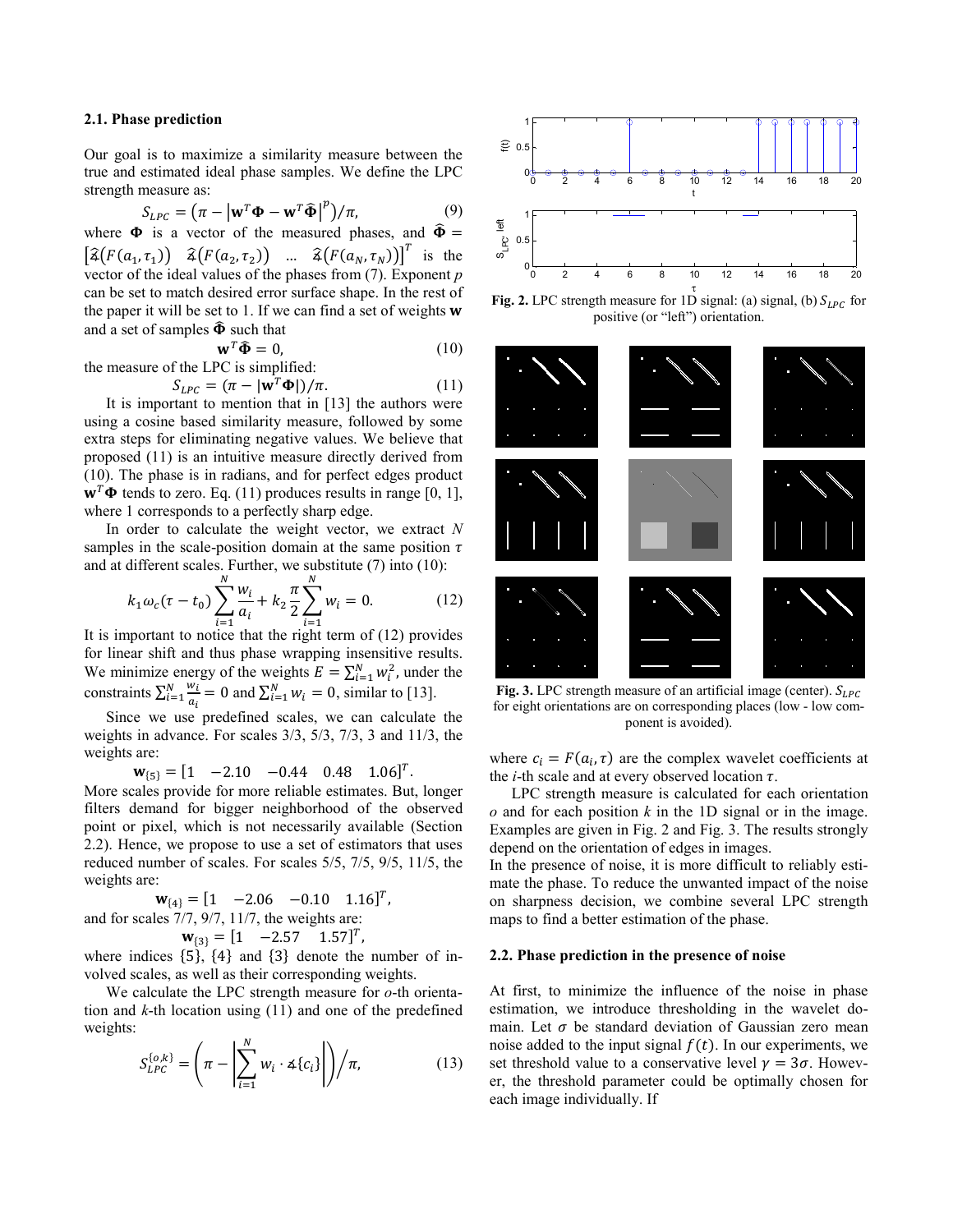# **2.1. Phase prediction**

Our goal is to maximize a similarity measure between the true and estimated ideal phase samples. We define the LPC strength measure as:

$$
S_{LPC} = (\pi - |\mathbf{w}^T \mathbf{\Phi} - \mathbf{w}^T \mathbf{\hat{\Phi}}|^p)/\pi,
$$
\n(9)

where  $\Phi$  is a vector of the measured phases, and  $\hat{\Phi} =$  $\left[\widehat{\mathfrak{z}}(F(a_1,\tau_1))\ \widehat{\mathfrak{z}}(F(a_2,\tau_2))\ \dots\ \widehat{\mathfrak{z}}(F(a_N,\tau_N))\right]^T$  is the vector of the ideal values of the phases from (7). Exponent *p* can be set to match desired error surface shape. In the rest of the paper it will be set to 1. If we can find a set of weights  $w$ and a set of samples  $\hat{\Phi}$  such that

$$
\mathbf{w}^T \widehat{\mathbf{\Phi}} = 0, \tag{10}
$$

the measure of the LPC is simplified:

$$
S_{LPC} = (\pi - |\mathbf{w}^T \mathbf{\Phi}|)/\pi.
$$
 (11)

It is important to mention that in [13] the authors were using a cosine based similarity measure, followed by some extra steps for eliminating negative values. We believe that proposed (11) is an intuitive measure directly derived from (10). The phase is in radians, and for perfect edges product  $\mathbf{w}^T \mathbf{\Phi}$  tends to zero. Eq. (11) produces results in range [0, 1], where 1 corresponds to a perfectly sharp edge.

In order to calculate the weight vector, we extract *N* samples in the scale-position domain at the same position  $\tau$ and at different scales. Further, we substitute (7) into (10):

$$
k_1 \omega_c (\tau - t_0) \sum_{i=1}^N \frac{w_i}{a_i} + k_2 \frac{\pi}{2} \sum_{i=1}^N w_i = 0.
$$
 (12)

It is important to notice that the right term of (12) provides for linear shift and thus phase wrapping insensitive results. We minimize energy of the weights  $E = \sum_{i=1}^{N} w_i^2$ , under the constraints  $\sum_{i=1}^{N} \frac{w_i}{a_i}$  $\frac{N}{i} \frac{w_i}{q_i} = 0$  and  $\sum_{i=1}^{N} w_i = 0$ , similar to [13].

Since we use predefined scales, we can calculate the weights in advance. For scales 3/3, 5/3, 7/3, 3 and 11/3, the weights are:

 $\mathbf{w}_{\{5\}} = [1 \quad -2.10 \quad -0.44 \quad 0.48 \quad 1.06]^T.$ 

More scales provide for more reliable estimates. But, longer filters demand for bigger neighborhood of the observed point or pixel, which is not necessarily available (Section 2.2). Hence, we propose to use a set of estimators that uses reduced number of scales. For scales 5/5, 7/5, 9/5, 11/5, the weights are:

$$
\mathbf{w}_{\{4\}} = [1 \quad -2.06 \quad -0.10 \quad 1.16]^T,
$$
  
and for scales 7/7, 9/7, 11/7, the weights are:  

$$
\mathbf{w}_{\{3\}} = [1 \quad -2.57 \quad 1.57]^T,
$$

where indices  $\{5\}$ ,  $\{4\}$  and  $\{3\}$  denote the number of involved scales, as well as their corresponding weights.

We calculate the LPC strength measure for *o*-th orientation and *k*-th location using (11) and one of the predefined weights:

$$
S_{LPC}^{\{o,k\}} = \left(\pi - \left|\sum_{i=1}^{N} w_i \cdot \mathcal{A}\{c_i\}\right|\right) / \pi,\tag{13}
$$



**Fig. 2.** LPC strength measure for 1D signal: (a) signal, (b)  $S_{LPC}$  for positive (or "left") orientation.



**Fig. 3.** LPC strength measure of an artificial image (center).  $S_{LPC}$ for eight orientations are on corresponding places (low - low component is avoided).

where  $c_i = F(a_i, \tau)$  are the complex wavelet coefficients at the *i*-th scale and at every observed location  $\tau$ .

LPC strength measure is calculated for each orientation *o* and for each position *k* in the 1D signal or in the image. Examples are given in Fig. 2 and Fig. 3. The results strongly depend on the orientation of edges in images.

In the presence of noise, it is more difficult to reliably estimate the phase. To reduce the unwanted impact of the noise on sharpness decision, we combine several LPC strength maps to find a better estimation of the phase.

#### **2.2. Phase prediction in the presence of noise**

At first, to minimize the influence of the noise in phase estimation, we introduce thresholding in the wavelet domain. Let  $\sigma$  be standard deviation of Gaussian zero mean noise added to the input signal  $f(t)$ . In our experiments, we set threshold value to a conservative level  $v = 3\sigma$ . However, the threshold parameter could be optimally chosen for each image individually. If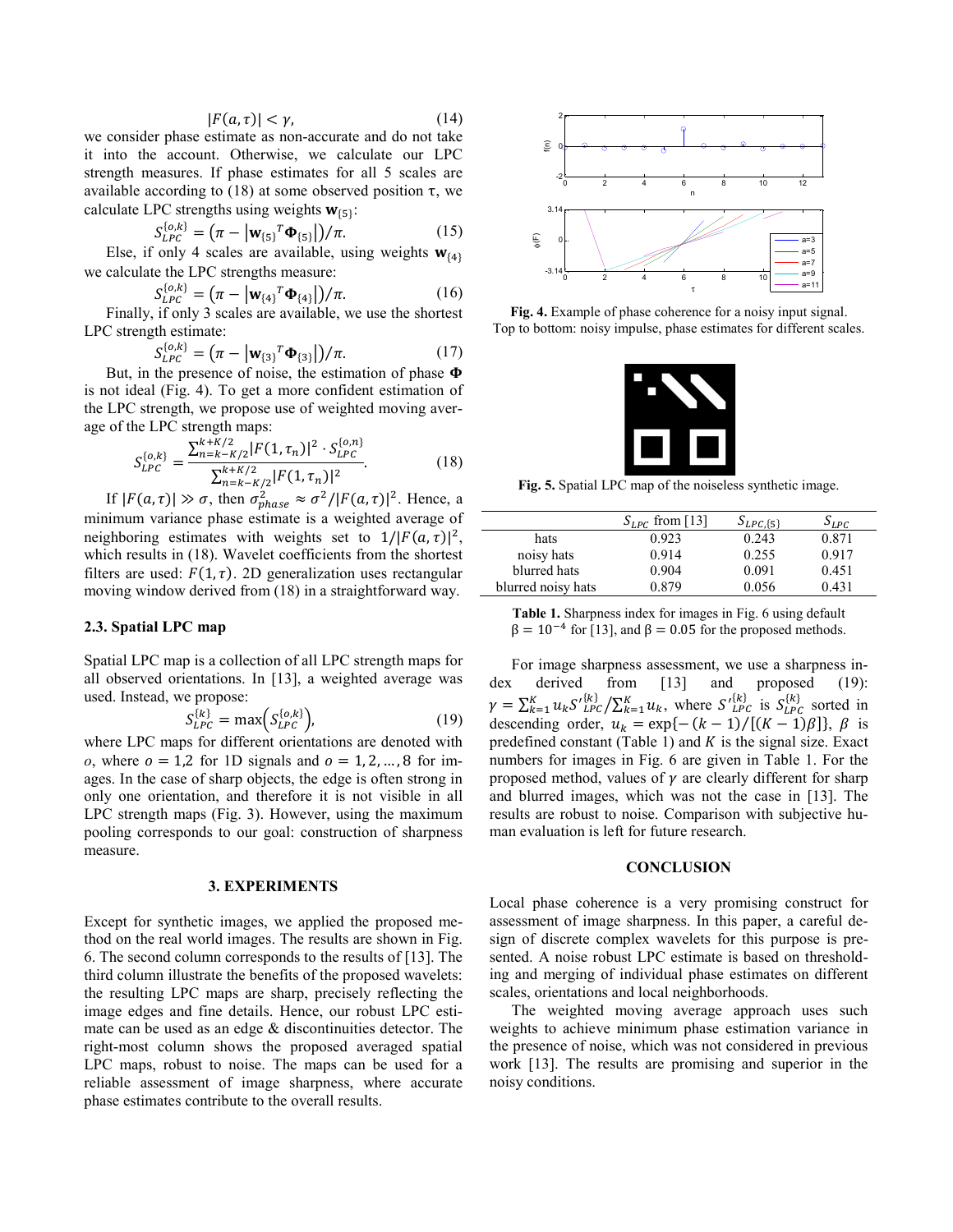$$
|F(a,\tau)| < \gamma,\tag{14}
$$

we consider phase estimate as non-accurate and do not take it into the account. Otherwise, we calculate our LPC strength measures. If phase estimates for all 5 scales are available according to (18) at some observed position τ, we calculate LPC strengths using weights  $w_{\{5\}}$ :

$$
S_{LPC}^{\{o,k\}} = (\pi - |\mathbf{w}_{\{5\}}^T \mathbf{\Phi}_{\{5\}}|)/\pi.
$$
 (15)

Else, if only 4 scales are available, using weights  $w_{\{4\}}$ we calculate the LPC strengths measure:

$$
S_{LPC}^{\{o,k\}} = (\pi - |\mathbf{w}_{\{4\}}|^T \mathbf{\Phi}_{\{4\}}|)/\pi.
$$
 (16)

Finally, if only 3 scales are available, we use the shortest LPC strength estimate:

$$
S_{LPC}^{\{o,k\}} = (\pi - |\mathbf{w}_{\{3\}}^T \mathbf{\Phi}_{\{3\}}|)/\pi.
$$
 (17)

But, in the presence of noise, the estimation of phase  $\Phi$ is not ideal (Fig. 4). To get a more confident estimation of the LPC strength, we propose use of weighted moving average of the LPC strength maps:

$$
S_{LPC}^{\{o,k\}} = \frac{\sum_{n=k-K/2}^{k+K/2} |F(1,\tau_n)|^2 \cdot S_{LPC}^{\{o,n\}}}{\sum_{n=k-K/2}^{k+K/2} |F(1,\tau_n)|^2}.
$$
 (18)

If  $|F(a, \tau)| \gg \sigma$ , then  $\sigma_{phase}^2 \approx \sigma^2 / |F(a, \tau)|^2$ . Hence, a minimum variance phase estimate is a weighted average of neighboring estimates with weights set to  $1/|F(a,\tau)|^2$ , which results in (18). Wavelet coefficients from the shortest filters are used:  $F(1, \tau)$ . 2D generalization uses rectangular moving window derived from (18) in a straightforward way.

# **2.3. Spatial LPC map**

Spatial LPC map is a collection of all LPC strength maps for all observed orientations. In [13], a weighted average was used. Instead, we propose:

$$
S_{LPC}^{\{k\}} = \max(S_{LPC}^{\{o,k\}}),\tag{19}
$$

where LPC maps for different orientations are denoted with *o*, where  $o = 1.2$  for 1D signals and  $o = 1, 2, ..., 8$  for images. In the case of sharp objects, the edge is often strong in only one orientation, and therefore it is not visible in all LPC strength maps (Fig. 3). However, using the maximum pooling corresponds to our goal: construction of sharpness measure.

## **3. EXPERIMENTS**

Except for synthetic images, we applied the proposed method on the real world images. The results are shown in Fig. 6. The second column corresponds to the results of [13]. The third column illustrate the benefits of the proposed wavelets: the resulting LPC maps are sharp, precisely reflecting the image edges and fine details. Hence, our robust LPC estimate can be used as an edge & discontinuities detector. The right-most column shows the proposed averaged spatial LPC maps, robust to noise. The maps can be used for a reliable assessment of image sharpness, where accurate phase estimates contribute to the overall results.



**Fig. 4.** Example of phase coherence for a noisy input signal. Top to bottom: noisy impulse, phase estimates for different scales.



**Fig. 5.** Spatial LPC map of the noiseless synthetic image.

|                    | $S_{LPC}$ from [13] | $S_{LPC,\{5\}}$ | $S_{LPC}$ |
|--------------------|---------------------|-----------------|-----------|
| hats               | 0.923               | 0.243           | 0.871     |
| noisy hats         | 0.914               | 0.255           | 0.917     |
| blurred hats       | 0.904               | 0.091           | 0.451     |
| blurred noisy hats | 0.879               | 0.056           | 0.431     |

**Table 1.** Sharpness index for images in Fig. 6 using default  $β = 10<sup>-4</sup>$  for [13], and  $β = 0.05$  for the proposed methods.

For image sharpness assessment, we use a sharpness index derived from [13] and proposed (19):  $\gamma = \sum_{k=1}^{K} u_k S'_{LPC}^{\{k\}} / \sum_{k=1}^{K} u_k$ , where  $S'_{LPC}^{\{k\}}$  is  $S_{LPC}^{\{k\}}$  sorted in descending order,  $u_k = \exp\{-(k-1)/[(K-1)\beta]\}, \beta$  is predefined constant (Table 1) and  $K$  is the signal size. Exact numbers for images in Fig. 6 are given in Table 1. For the proposed method, values of  $\gamma$  are clearly different for sharp and blurred images, which was not the case in [13]. The results are robust to noise. Comparison with subjective human evaluation is left for future research.

#### **CONCLUSION**

Local phase coherence is a very promising construct for assessment of image sharpness. In this paper, a careful design of discrete complex wavelets for this purpose is presented. A noise robust LPC estimate is based on thresholding and merging of individual phase estimates on different scales, orientations and local neighborhoods.

The weighted moving average approach uses such weights to achieve minimum phase estimation variance in the presence of noise, which was not considered in previous work [13]. The results are promising and superior in the noisy conditions.